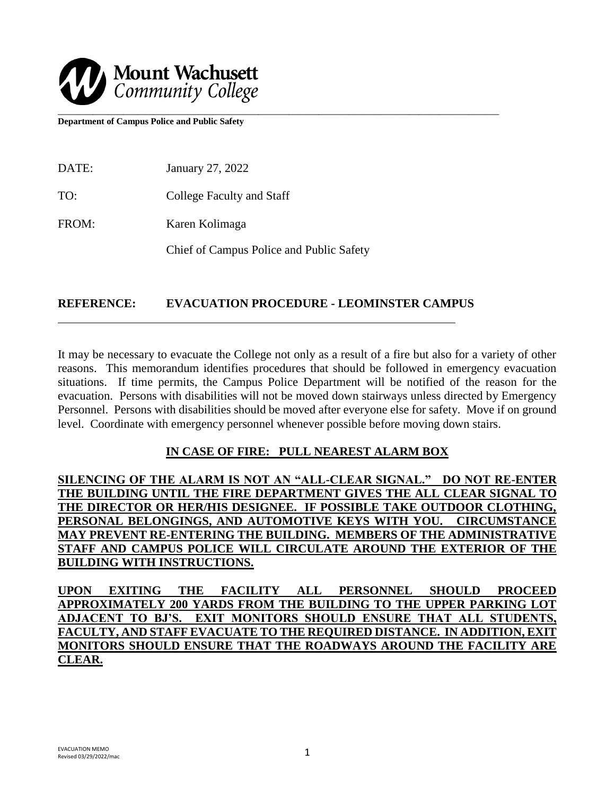

**Department of Campus Police and Public Safety** 

DATE: January 27, 2022 TO: College Faculty and Staff FROM: Karen Kolimaga Chief of Campus Police and Public Safety

### **REFERENCE: EVACUATION PROCEDURE - LEOMINSTER CAMPUS**

It may be necessary to evacuate the College not only as a result of a fire but also for a variety of other reasons. This memorandum identifies procedures that should be followed in emergency evacuation situations. If time permits, the Campus Police Department will be notified of the reason for the evacuation. Persons with disabilities will not be moved down stairways unless directed by Emergency Personnel. Persons with disabilities should be moved after everyone else for safety. Move if on ground level. Coordinate with emergency personnel whenever possible before moving down stairs.

### **IN CASE OF FIRE: PULL NEAREST ALARM BOX**

**SILENCING OF THE ALARM IS NOT AN "ALL-CLEAR SIGNAL." DO NOT RE-ENTER THE BUILDING UNTIL THE FIRE DEPARTMENT GIVES THE ALL CLEAR SIGNAL TO THE DIRECTOR OR HER/HIS DESIGNEE. IF POSSIBLE TAKE OUTDOOR CLOTHING, PERSONAL BELONGINGS, AND AUTOMOTIVE KEYS WITH YOU. CIRCUMSTANCE MAY PREVENT RE-ENTERING THE BUILDING. MEMBERS OF THE ADMINISTRATIVE STAFF AND CAMPUS POLICE WILL CIRCULATE AROUND THE EXTERIOR OF THE BUILDING WITH INSTRUCTIONS.**

**UPON EXITING THE FACILITY ALL PERSONNEL SHOULD PROCEED APPROXIMATELY 200 YARDS FROM THE BUILDING TO THE UPPER PARKING LOT ADJACENT TO BJ'S. EXIT MONITORS SHOULD ENSURE THAT ALL STUDENTS, FACULTY, AND STAFF EVACUATE TO THE REQUIRED DISTANCE. IN ADDITION, EXIT MONITORS SHOULD ENSURE THAT THE ROADWAYS AROUND THE FACILITY ARE CLEAR.**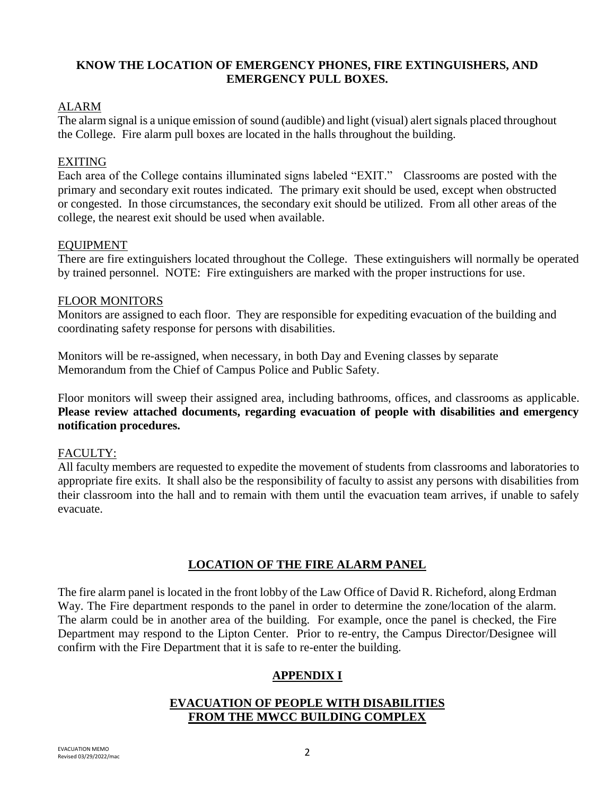# **KNOW THE LOCATION OF EMERGENCY PHONES, FIRE EXTINGUISHERS, AND EMERGENCY PULL BOXES.**

### ALARM

The alarm signal is a unique emission of sound (audible) and light (visual) alert signals placed throughout the College. Fire alarm pull boxes are located in the halls throughout the building.

### EXITING

Each area of the College contains illuminated signs labeled "EXIT." Classrooms are posted with the primary and secondary exit routes indicated. The primary exit should be used, except when obstructed or congested. In those circumstances, the secondary exit should be utilized. From all other areas of the college, the nearest exit should be used when available.

### EQUIPMENT

There are fire extinguishers located throughout the College. These extinguishers will normally be operated by trained personnel. NOTE: Fire extinguishers are marked with the proper instructions for use.

### FLOOR MONITORS

Monitors are assigned to each floor. They are responsible for expediting evacuation of the building and coordinating safety response for persons with disabilities.

Monitors will be re-assigned, when necessary, in both Day and Evening classes by separate Memorandum from the Chief of Campus Police and Public Safety.

Floor monitors will sweep their assigned area, including bathrooms, offices, and classrooms as applicable. **Please review attached documents, regarding evacuation of people with disabilities and emergency notification procedures.**

### FACULTY:

All faculty members are requested to expedite the movement of students from classrooms and laboratories to appropriate fire exits. It shall also be the responsibility of faculty to assist any persons with disabilities from their classroom into the hall and to remain with them until the evacuation team arrives, if unable to safely evacuate.

# **LOCATION OF THE FIRE ALARM PANEL**

The fire alarm panel is located in the front lobby of the Law Office of David R. Richeford, along Erdman Way. The Fire department responds to the panel in order to determine the zone/location of the alarm. The alarm could be in another area of the building. For example, once the panel is checked, the Fire Department may respond to the Lipton Center. Prior to re-entry, the Campus Director/Designee will confirm with the Fire Department that it is safe to re-enter the building.

# **APPENDIX I**

# **EVACUATION OF PEOPLE WITH DISABILITIES FROM THE MWCC BUILDING COMPLEX**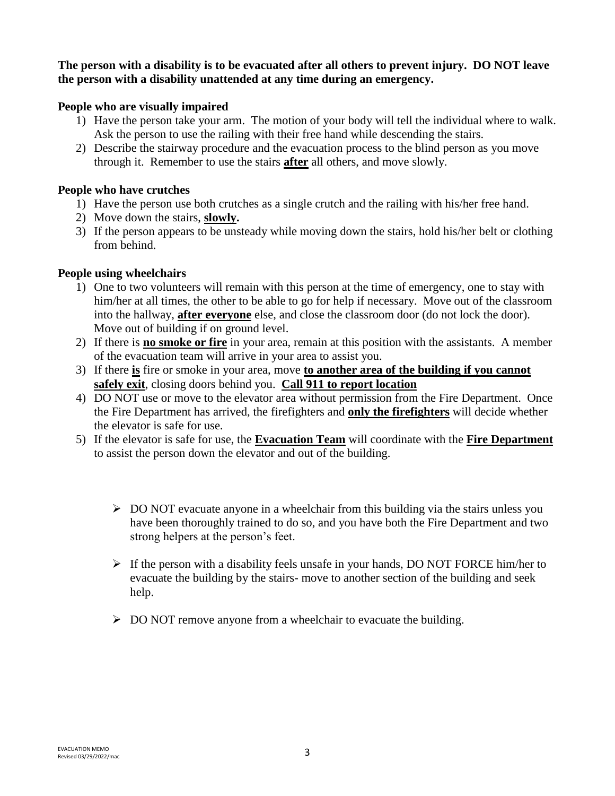**The person with a disability is to be evacuated after all others to prevent injury. DO NOT leave the person with a disability unattended at any time during an emergency.**

# **People who are visually impaired**

- 1) Have the person take your arm. The motion of your body will tell the individual where to walk. Ask the person to use the railing with their free hand while descending the stairs.
- 2) Describe the stairway procedure and the evacuation process to the blind person as you move through it. Remember to use the stairs **after** all others, and move slowly.

### **People who have crutches**

- 1) Have the person use both crutches as a single crutch and the railing with his/her free hand.
- 2) Move down the stairs, **slowly.**
- 3) If the person appears to be unsteady while moving down the stairs, hold his/her belt or clothing from behind.

# **People using wheelchairs**

- 1) One to two volunteers will remain with this person at the time of emergency, one to stay with him/her at all times, the other to be able to go for help if necessary. Move out of the classroom into the hallway, **after everyone** else, and close the classroom door (do not lock the door). Move out of building if on ground level.
- 2) If there is **no smoke or fire** in your area, remain at this position with the assistants. A member of the evacuation team will arrive in your area to assist you.
- 3) If there **is** fire or smoke in your area, move **to another area of the building if you cannot safely exit**, closing doors behind you. **Call 911 to report location**
- 4) DO NOT use or move to the elevator area without permission from the Fire Department. Once the Fire Department has arrived, the firefighters and **only the firefighters** will decide whether the elevator is safe for use.
- 5) If the elevator is safe for use, the **Evacuation Team** will coordinate with the **Fire Department** to assist the person down the elevator and out of the building.
	- $\triangleright$  DO NOT evacuate anyone in a wheelchair from this building via the stairs unless you have been thoroughly trained to do so, and you have both the Fire Department and two strong helpers at the person's feet.
	- $\triangleright$  If the person with a disability feels unsafe in your hands, DO NOT FORCE him/her to evacuate the building by the stairs- move to another section of the building and seek help.
	- $\triangleright$  DO NOT remove anyone from a wheelchair to evacuate the building.